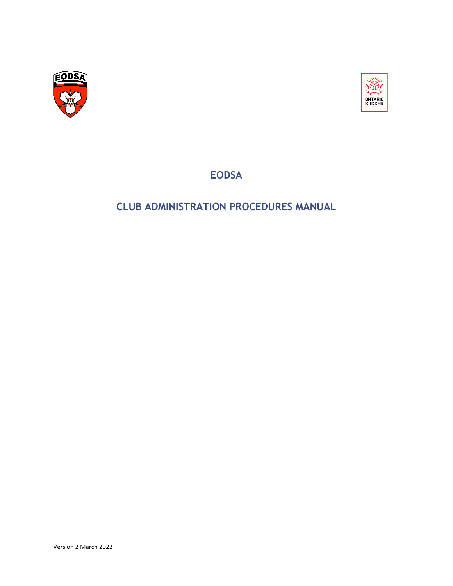<span id="page-0-0"></span>



**EODSA**

# <span id="page-0-2"></span><span id="page-0-1"></span>**CLUB ADMINISTRATION PROCEDURES MANUAL**

Version 2 March 2022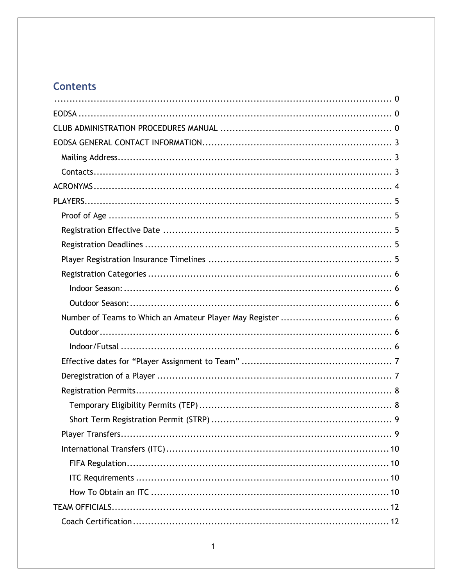# **Contents**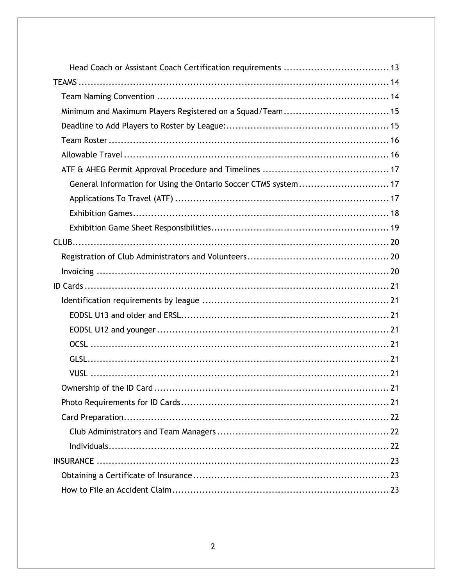| General Information for Using the Ontario Soccer CTMS system 17 |
|-----------------------------------------------------------------|
|                                                                 |
|                                                                 |
|                                                                 |
|                                                                 |
|                                                                 |
|                                                                 |
|                                                                 |
|                                                                 |
|                                                                 |
|                                                                 |
|                                                                 |
|                                                                 |
|                                                                 |
|                                                                 |
|                                                                 |
|                                                                 |
|                                                                 |
|                                                                 |
|                                                                 |
|                                                                 |
|                                                                 |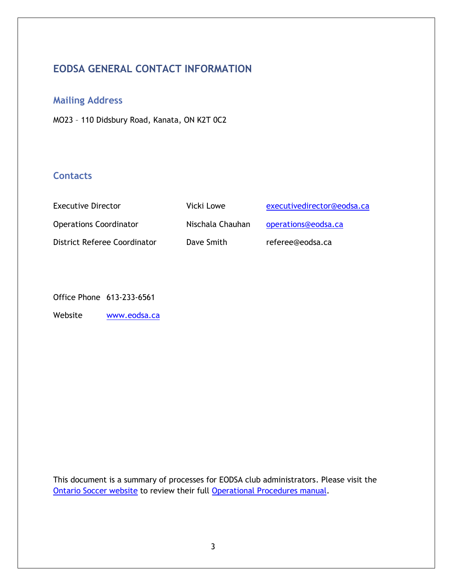# <span id="page-3-0"></span>**EODSA GENERAL CONTACT INFORMATION**

# <span id="page-3-1"></span>**Mailing Address**

MO23 – 110 Didsbury Road, Kanata, ON K2T 0C2

## <span id="page-3-2"></span>**Contacts**

| <b>Executive Director</b>     | Vicki Lowe       | executivedirector@eodsa.ca |
|-------------------------------|------------------|----------------------------|
| <b>Operations Coordinator</b> | Nischala Chauhan | operations@eodsa.ca        |
| District Referee Coordinator  | Dave Smith       | referee@eodsa.ca           |

Office Phone 613-233-6561

Website [www.eodsa.ca](http://www.eodsa.ca/)

This document is a summary of processes for EODSA club administrators. Please visit the [Ontario Soccer website](https://www.ontariosoccer.net/) to review their full [Operational Procedures manual.](https://cdn3.sportngin.com/attachments/document/3f18-1747732/Ontario_Soccer_2022-2023_Operational_Procedures_2022-01-27.pdf#_ga=2.226928222.2100025246.1645035038-1541660428.1640115360)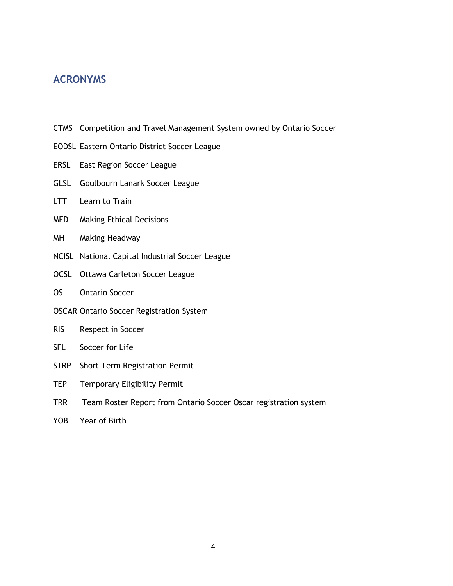# <span id="page-4-0"></span>**ACRONYMS**

- CTMS Competition and Travel Management System owned by Ontario Soccer
- EODSL Eastern Ontario District Soccer League
- ERSL East Region Soccer League
- GLSL Goulbourn Lanark Soccer League
- LTT Learn to Train
- MED Making Ethical Decisions
- MH Making Headway
- NCISL National Capital Industrial Soccer League
- OCSL Ottawa Carleton Soccer League
- OS Ontario Soccer
- OSCAR Ontario Soccer Registration System
- RIS Respect in Soccer
- SFL Soccer for Life
- STRP Short Term Registration Permit
- TEP Temporary Eligibility Permit
- TRR Team Roster Report from Ontario Soccer Oscar registration system
- YOB Year of Birth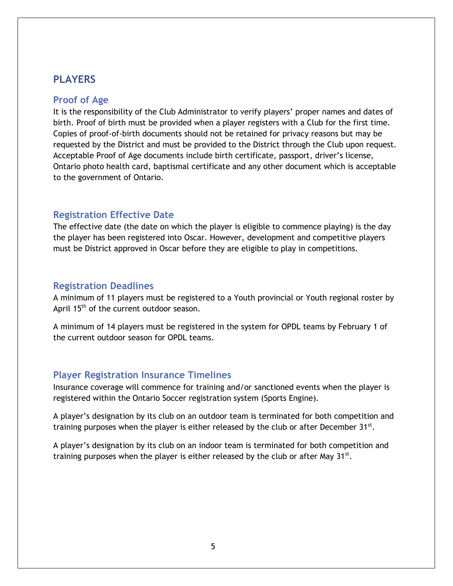## <span id="page-5-0"></span>**PLAYERS**

#### <span id="page-5-1"></span>**Proof of Age**

It is the responsibility of the Club Administrator to verify players' proper names and dates of birth. Proof of birth must be provided when a player registers with a Club for the first time. Copies of proof-of-birth documents should not be retained for privacy reasons but may be requested by the District and must be provided to the District through the Club upon request. Acceptable Proof of Age documents include birth certificate, passport, driver's license, Ontario photo health card, baptismal certificate and any other document which is acceptable to the government of Ontario.

#### <span id="page-5-2"></span>**Registration Effective Date**

The effective date (the date on which the player is eligible to commence playing) is the day the player has been registered into Oscar. However, development and competitive players must be District approved in Oscar before they are eligible to play in competitions.

### <span id="page-5-3"></span>**Registration Deadlines**

A minimum of 11 players must be registered to a Youth provincial or Youth regional roster by April 15<sup>th</sup> of the current outdoor season.

A minimum of 14 players must be registered in the system for OPDL teams by February 1 of the current outdoor season for OPDL teams.

## <span id="page-5-4"></span>**Player Registration Insurance Timelines**

Insurance coverage will commence for training and/or sanctioned events when the player is registered within the Ontario Soccer registration system (Sports Engine).

A player's designation by its club on an outdoor team is terminated for both competition and training purposes when the player is either released by the club or after December  $31^{st}$ .

A player's designation by its club on an indoor team is terminated for both competition and training purposes when the player is either released by the club or after May  $31<sup>st</sup>$ .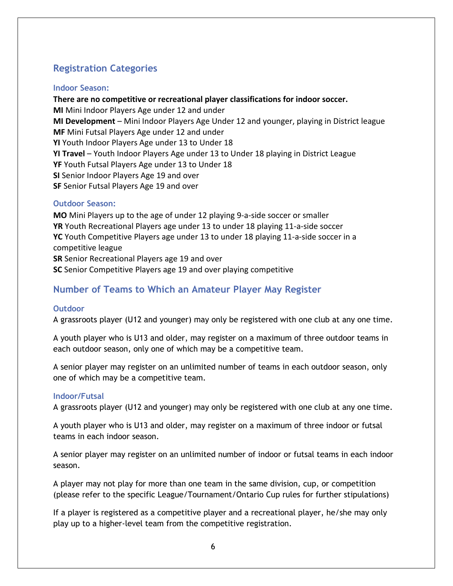# <span id="page-6-0"></span>**Registration Categories**

#### <span id="page-6-1"></span>**Indoor Season:**

**There are no competitive or recreational player classifications for indoor soccer. MI** Mini Indoor Players Age under 12 and under **MI Development** – Mini Indoor Players Age Under 12 and younger, playing in District league **MF** Mini Futsal Players Age under 12 and under **YI** Youth Indoor Players Age under 13 to Under 18 **YI Travel** – Youth Indoor Players Age under 13 to Under 18 playing in District League **YF** Youth Futsal Players Age under 13 to Under 18 **SI** Senior Indoor Players Age 19 and over **SF** Senior Futsal Players Age 19 and over

#### <span id="page-6-2"></span>**Outdoor Season:**

**MO** Mini Players up to the age of under 12 playing 9‐a‐side soccer or smaller **YR** Youth Recreational Players age under 13 to under 18 playing 11‐a‐side soccer **YC** Youth Competitive Players age under 13 to under 18 playing 11‐a‐side soccer in a competitive league **SR** Senior Recreational Players age 19 and over **SC** Senior Competitive Players age 19 and over playing competitive

# <span id="page-6-3"></span>**Number of Teams to Which an Amateur Player May Register**

#### <span id="page-6-4"></span>**Outdoor**

A grassroots player (U12 and younger) may only be registered with one club at any one time.

A youth player who is U13 and older, may register on a maximum of three outdoor teams in each outdoor season, only one of which may be a competitive team.

A senior player may register on an unlimited number of teams in each outdoor season, only one of which may be a competitive team.

#### <span id="page-6-5"></span>**Indoor/Futsal**

A grassroots player (U12 and younger) may only be registered with one club at any one time.

A youth player who is U13 and older, may register on a maximum of three indoor or futsal teams in each indoor season.

A senior player may register on an unlimited number of indoor or futsal teams in each indoor season.

A player may not play for more than one team in the same division, cup, or competition (please refer to the specific League/Tournament/Ontario Cup rules for further stipulations)

If a player is registered as a competitive player and a recreational player, he/she may only play up to a higher-level team from the competitive registration.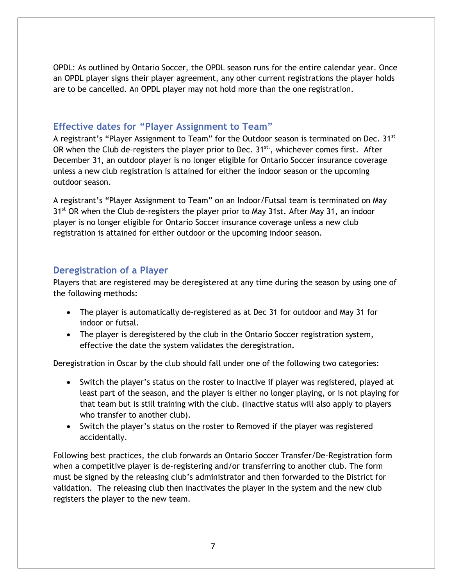OPDL: As outlined by Ontario Soccer, the OPDL season runs for the entire calendar year. Once an OPDL player signs their player agreement, any other current registrations the player holds are to be cancelled. An OPDL player may not hold more than the one registration.

### <span id="page-7-0"></span>**Effective dates for "Player Assignment to Team"**

A registrant's "Player Assignment to Team" for the Outdoor season is terminated on Dec. 31<sup>st</sup> OR when the Club de-registers the player prior to Dec.  $31^{st}$ , whichever comes first. After December 31, an outdoor player is no longer eligible for Ontario Soccer insurance coverage unless a new club registration is attained for either the indoor season or the upcoming outdoor season.

A registrant's "Player Assignment to Team" on an Indoor/Futsal team is terminated on May 31<sup>st</sup> OR when the Club de-registers the player prior to May 31st. After May 31, an indoor player is no longer eligible for Ontario Soccer insurance coverage unless a new club registration is attained for either outdoor or the upcoming indoor season.

### <span id="page-7-1"></span>**Deregistration of a Player**

Players that are registered may be deregistered at any time during the season by using one of the following methods:

- The player is automatically de-registered as at Dec 31 for outdoor and May 31 for indoor or futsal.
- The player is deregistered by the club in the Ontario Soccer registration system, effective the date the system validates the deregistration.

Deregistration in Oscar by the club should fall under one of the following two categories:

- Switch the player's status on the roster to Inactive if player was registered, played at least part of the season, and the player is either no longer playing, or is not playing for that team but is still training with the club. (Inactive status will also apply to players who transfer to another club).
- Switch the player's status on the roster to Removed if the player was registered accidentally.

Following best practices, the club forwards an Ontario Soccer Transfer/De-Registration form when a competitive player is de-registering and/or transferring to another club. The form must be signed by the releasing club's administrator and then forwarded to the District for validation. The releasing club then inactivates the player in the system and the new club registers the player to the new team.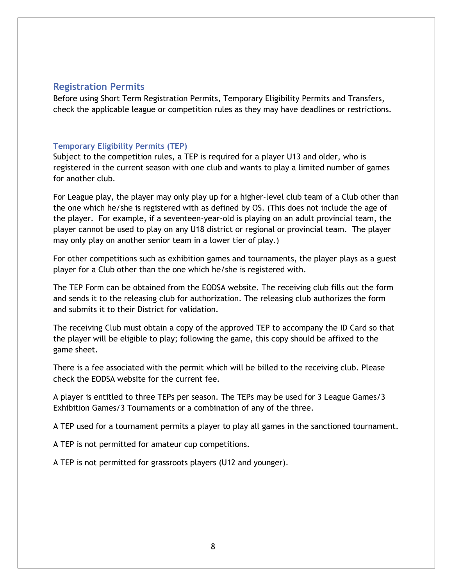### <span id="page-8-0"></span>**Registration Permits**

Before using Short Term Registration Permits, Temporary Eligibility Permits and Transfers, check the applicable league or competition rules as they may have deadlines or restrictions.

#### <span id="page-8-1"></span>**Temporary Eligibility Permits (TEP)**

Subject to the competition rules, a TEP is required for a player U13 and older, who is registered in the current season with one club and wants to play a limited number of games for another club.

For League play, the player may only play up for a higher-level club team of a Club other than the one which he/she is registered with as defined by OS. (This does not include the age of the player. For example, if a seventeen-year-old is playing on an adult provincial team, the player cannot be used to play on any U18 district or regional or provincial team. The player may only play on another senior team in a lower tier of play.)

For other competitions such as exhibition games and tournaments, the player plays as a guest player for a Club other than the one which he/she is registered with.

The TEP Form can be obtained from the EODSA website. The receiving club fills out the form and sends it to the releasing club for authorization. The releasing club authorizes the form and submits it to their District for validation.

The receiving Club must obtain a copy of the approved TEP to accompany the ID Card so that the player will be eligible to play; following the game, this copy should be affixed to the game sheet.

There is a fee associated with the permit which will be billed to the receiving club. Please check the EODSA website for the current fee.

A player is entitled to three TEPs per season. The TEPs may be used for 3 League Games/3 Exhibition Games/3 Tournaments or a combination of any of the three.

A TEP used for a tournament permits a player to play all games in the sanctioned tournament.

A TEP is not permitted for amateur cup competitions.

A TEP is not permitted for grassroots players (U12 and younger).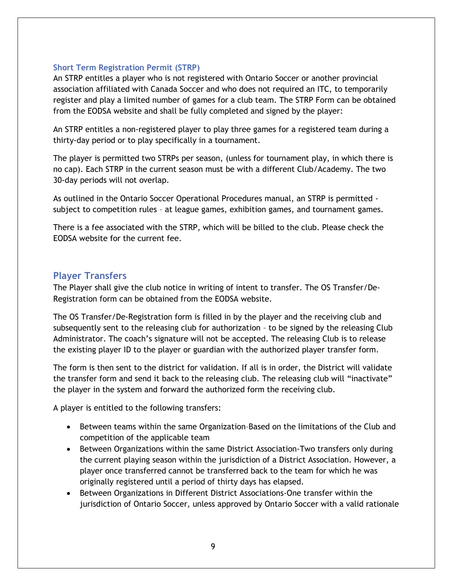#### <span id="page-9-0"></span>**Short Term Registration Permit (STRP)**

An STRP entitles a player who is not registered with Ontario Soccer or another provincial association affiliated with Canada Soccer and who does not required an ITC, to temporarily register and play a limited number of games for a club team. The STRP Form can be obtained from the EODSA website and shall be fully completed and signed by the player:

An STRP entitles a non-registered player to play three games for a registered team during a thirty-day period or to play specifically in a tournament.

The player is permitted two STRPs per season, (unless for tournament play, in which there is no cap). Each STRP in the current season must be with a different Club/Academy. The two 30-day periods will not overlap.

As outlined in the Ontario Soccer Operational Procedures manual, an STRP is permitted subject to competition rules – at league games, exhibition games, and tournament games.

There is a fee associated with the STRP, which will be billed to the club. Please check the EODSA website for the current fee.

## <span id="page-9-1"></span>**Player Transfers**

The Player shall give the club notice in writing of intent to transfer. The OS Transfer/De-Registration form can be obtained from the EODSA website.

The OS Transfer/De-Registration form is filled in by the player and the receiving club and subsequently sent to the releasing club for authorization – to be signed by the releasing Club Administrator. The coach's signature will not be accepted. The releasing Club is to release the existing player ID to the player or guardian with the authorized player transfer form.

The form is then sent to the district for validation. If all is in order, the District will validate the transfer form and send it back to the releasing club. The releasing club will "inactivate" the player in the system and forward the authorized form the receiving club.

A player is entitled to the following transfers:

- Between teams within the same Organization–Based on the limitations of the Club and competition of the applicable team
- Between Organizations within the same District Association-Two transfers only during the current playing season within the jurisdiction of a District Association. However, a player once transferred cannot be transferred back to the team for which he was originally registered until a period of thirty days has elapsed.
- Between Organizations in Different District Associations-One transfer within the jurisdiction of Ontario Soccer, unless approved by Ontario Soccer with a valid rationale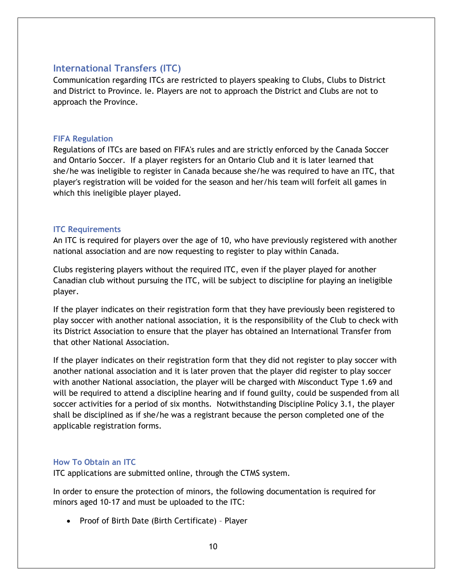### <span id="page-10-0"></span>**International Transfers (ITC)**

Communication regarding ITCs are restricted to players speaking to Clubs, Clubs to District and District to Province. Ie. Players are not to approach the District and Clubs are not to approach the Province.

#### <span id="page-10-1"></span>**FIFA Regulation**

Regulations of ITCs are based on FIFA's rules and are strictly enforced by the Canada Soccer and Ontario Soccer. If a player registers for an Ontario Club and it is later learned that she/he was ineligible to register in Canada because she/he was required to have an ITC, that player's registration will be voided for the season and her/his team will forfeit all games in which this ineligible player played.

#### <span id="page-10-2"></span>**ITC Requirements**

An ITC is required for players over the age of 10, who have previously registered with another national association and are now requesting to register to play within Canada.

Clubs registering players without the required ITC, even if the player played for another Canadian club without pursuing the ITC, will be subject to discipline for playing an ineligible player.

If the player indicates on their registration form that they have previously been registered to play soccer with another national association, it is the responsibility of the Club to check with its District Association to ensure that the player has obtained an International Transfer from that other National Association.

If the player indicates on their registration form that they did not register to play soccer with another national association and it is later proven that the player did register to play soccer with another National association, the player will be charged with Misconduct Type 1.69 and will be required to attend a discipline hearing and if found guilty, could be suspended from all soccer activities for a period of six months. Notwithstanding Discipline Policy 3.1, the player shall be disciplined as if she/he was a registrant because the person completed one of the applicable registration forms.

#### <span id="page-10-3"></span>**How To Obtain an ITC**

ITC applications are submitted online, through the CTMS system.

In order to ensure the protection of minors, the following documentation is required for minors aged 10-17 and must be uploaded to the ITC:

• Proof of Birth Date (Birth Certificate) – Player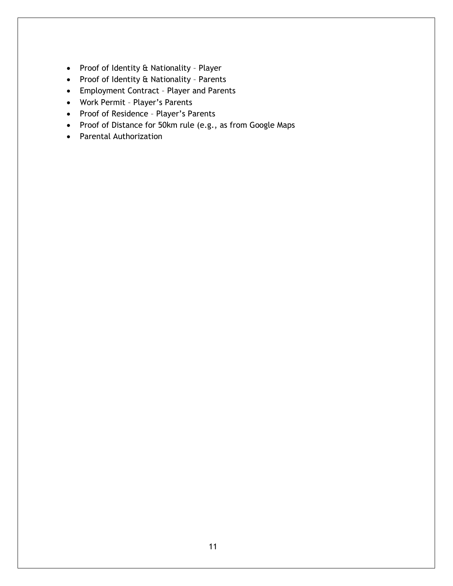- Proof of Identity & Nationality Player
- Proof of Identity & Nationality Parents
- Employment Contract Player and Parents
- Work Permit Player's Parents
- Proof of Residence Player's Parents
- Proof of Distance for 50km rule (e.g., as from Google Maps
- Parental Authorization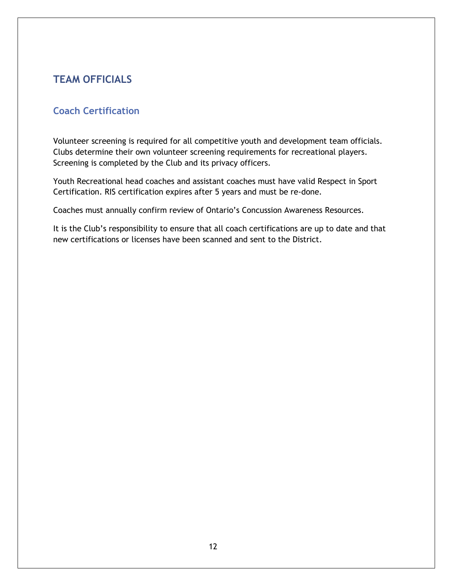# <span id="page-12-0"></span>**TEAM OFFICIALS**

# <span id="page-12-1"></span>**Coach Certification**

Volunteer screening is required for all competitive youth and development team officials. Clubs determine their own volunteer screening requirements for recreational players. Screening is completed by the Club and its privacy officers.

Youth Recreational head coaches and assistant coaches must have valid Respect in Sport Certification. RIS certification expires after 5 years and must be re-done.

Coaches must annually confirm review of Ontario's Concussion Awareness Resources.

It is the Club's responsibility to ensure that all coach certifications are up to date and that new certifications or licenses have been scanned and sent to the District.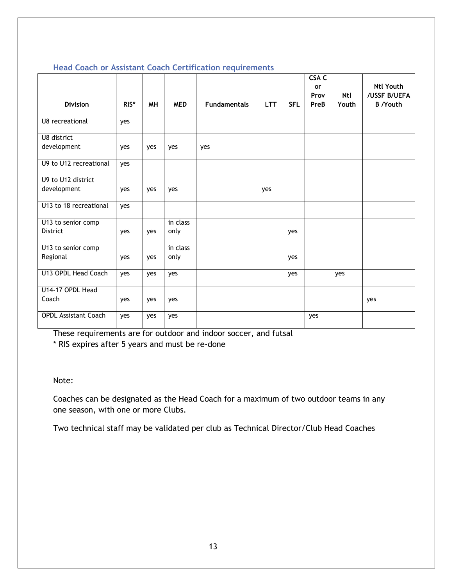| <b>Division</b>                                    | RIS* | <b>MH</b> | <b>MED</b>       | <b>Fundamentals</b> | <b>LTT</b> | <b>SFL</b> | <b>CSA C</b><br>or<br>Prov<br>PreB | <b>Ntl</b><br>Youth | <b>Ntl Youth</b><br>/USSF B/UEFA<br><b>B</b> /Youth |
|----------------------------------------------------|------|-----------|------------------|---------------------|------------|------------|------------------------------------|---------------------|-----------------------------------------------------|
| U8 recreational                                    | yes  |           |                  |                     |            |            |                                    |                     |                                                     |
| U8 district<br>development                         | yes  | yes       | yes              | yes                 |            |            |                                    |                     |                                                     |
| U9 to U12 recreational                             | yes  |           |                  |                     |            |            |                                    |                     |                                                     |
| U9 to U12 district<br>development                  | yes  | yes       | yes              |                     | yes        |            |                                    |                     |                                                     |
| U13 to 18 recreational                             | yes  |           |                  |                     |            |            |                                    |                     |                                                     |
| $\overline{U13}$ to senior comp<br><b>District</b> | yes  | yes       | in class<br>only |                     |            | yes        |                                    |                     |                                                     |
| $\overline{U13}$ to senior comp<br>Regional        | yes  | yes       | in class<br>only |                     |            | yes        |                                    |                     |                                                     |
| U13 OPDL Head Coach                                | yes  | yes       | yes              |                     |            | yes        |                                    | yes                 |                                                     |
| U14-17 OPDL Head<br>Coach                          | yes  | yes       | yes              |                     |            |            |                                    |                     | yes                                                 |
| <b>OPDL Assistant Coach</b>                        | yes  | yes       | yes              |                     |            |            | yes                                |                     |                                                     |

#### <span id="page-13-0"></span>**Head Coach or Assistant Coach Certification requirements**

These requirements are for outdoor and indoor soccer, and futsal

\* RIS expires after 5 years and must be re-done

Note:

Coaches can be designated as the Head Coach for a maximum of two outdoor teams in any one season, with one or more Clubs.

Two technical staff may be validated per club as Technical Director/Club Head Coaches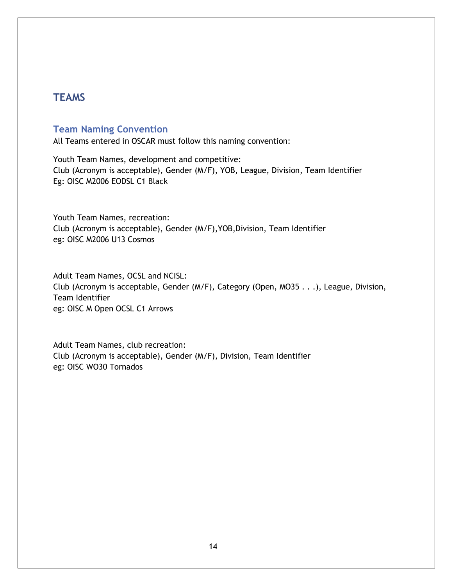# <span id="page-14-0"></span>**TEAMS**

## <span id="page-14-1"></span>**Team Naming Convention**

All Teams entered in OSCAR must follow this naming convention:

Youth Team Names, development and competitive: Club (Acronym is acceptable), Gender (M/F), YOB, League, Division, Team Identifier Eg: OISC M2006 EODSL C1 Black

Youth Team Names, recreation: Club (Acronym is acceptable), Gender (M/F),YOB,Division, Team Identifier eg: OISC M2006 U13 Cosmos

Adult Team Names, OCSL and NCISL: Club (Acronym is acceptable, Gender (M/F), Category (Open, MO35 . . .), League, Division, Team Identifier eg: OISC M Open OCSL C1 Arrows

Adult Team Names, club recreation: Club (Acronym is acceptable), Gender (M/F), Division, Team Identifier eg: OISC WO30 Tornados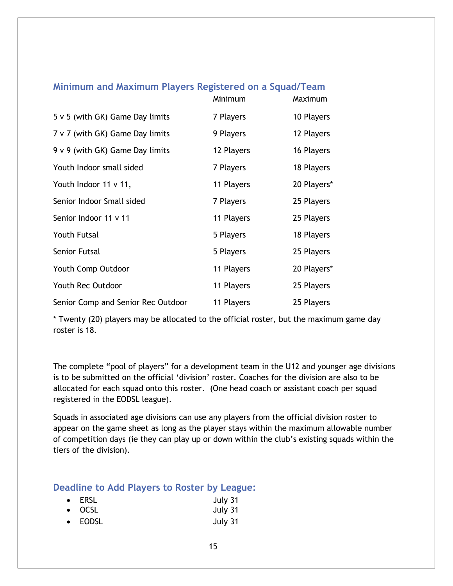## <span id="page-15-0"></span>**Minimum and Maximum Players Registered on a Squad/Team**

|                                      | Minimum    | Maximum     |
|--------------------------------------|------------|-------------|
| $5 \vee 5$ (with GK) Game Day limits | 7 Players  | 10 Players  |
| 7 v 7 (with GK) Game Day limits      | 9 Players  | 12 Players  |
| 9 v 9 (with GK) Game Day limits      | 12 Players | 16 Players  |
| Youth Indoor small sided             | 7 Players  | 18 Players  |
| Youth Indoor 11 v 11,                | 11 Players | 20 Players* |
| Senior Indoor Small sided            | 7 Players  | 25 Players  |
| Senior Indoor 11 v 11                | 11 Players | 25 Players  |
| <b>Youth Futsal</b>                  | 5 Players  | 18 Players  |
| Senior Futsal                        | 5 Players  | 25 Players  |
| Youth Comp Outdoor                   | 11 Players | 20 Players* |
| Youth Rec Outdoor                    | 11 Players | 25 Players  |
| Senior Comp and Senior Rec Outdoor   | 11 Players | 25 Players  |

\* Twenty (20) players may be allocated to the official roster, but the maximum game day roster is 18.

The complete "pool of players" for a development team in the U12 and younger age divisions is to be submitted on the official 'division' roster. Coaches for the division are also to be allocated for each squad onto this roster. (One head coach or assistant coach per squad registered in the EODSL league).

Squads in associated age divisions can use any players from the official division roster to appear on the game sheet as long as the player stays within the maximum allowable number of competition days (ie they can play up or down within the club's existing squads within the tiers of the division).

#### <span id="page-15-1"></span>**Deadline to Add Players to Roster by League:**

| $\bullet$ ERSL | July 31 |
|----------------|---------|
| $\bullet$ OCSL | July 31 |
| • EODSL        | July 31 |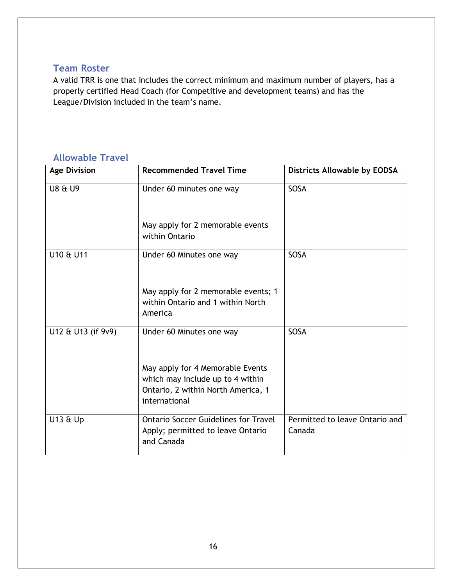## <span id="page-16-0"></span>**Team Roster**

A valid TRR is one that includes the correct minimum and maximum number of players, has a properly certified Head Coach (for Competitive and development teams) and has the League/Division included in the team's name.

# <span id="page-16-1"></span>**Allowable Travel**

| <b>Age Division</b> | <b>Recommended Travel Time</b>                                                                                              | Districts Allowable by EODSA             |
|---------------------|-----------------------------------------------------------------------------------------------------------------------------|------------------------------------------|
| <b>U8 &amp; U9</b>  | Under 60 minutes one way                                                                                                    | SOSA                                     |
|                     | May apply for 2 memorable events<br>within Ontario                                                                          |                                          |
| U10 & U11           | Under 60 Minutes one way                                                                                                    | SOSA                                     |
|                     | May apply for 2 memorable events; 1<br>within Ontario and 1 within North<br>America                                         |                                          |
| U12 & U13 (if 9v9)  | Under 60 Minutes one way                                                                                                    | <b>SOSA</b>                              |
|                     | May apply for 4 Memorable Events<br>which may include up to 4 within<br>Ontario, 2 within North America, 1<br>international |                                          |
| U13 & Up            | <b>Ontario Soccer Guidelines for Travel</b><br>Apply; permitted to leave Ontario<br>and Canada                              | Permitted to leave Ontario and<br>Canada |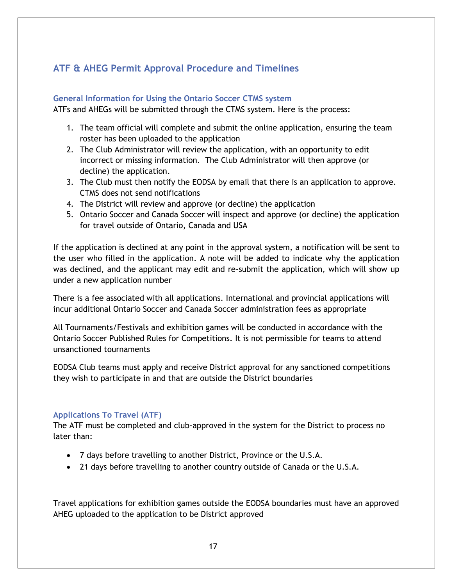# <span id="page-17-0"></span>**ATF & AHEG Permit Approval Procedure and Timelines**

#### <span id="page-17-1"></span>**General Information for Using the Ontario Soccer CTMS system**

ATFs and AHEGs will be submitted through the CTMS system. Here is the process:

- 1. The team official will complete and submit the online application, ensuring the team roster has been uploaded to the application
- 2. The Club Administrator will review the application, with an opportunity to edit incorrect or missing information. The Club Administrator will then approve (or decline) the application.
- 3. The Club must then notify the EODSA by email that there is an application to approve. CTMS does not send notifications
- 4. The District will review and approve (or decline) the application
- 5. Ontario Soccer and Canada Soccer will inspect and approve (or decline) the application for travel outside of Ontario, Canada and USA

If the application is declined at any point in the approval system, a notification will be sent to the user who filled in the application. A note will be added to indicate why the application was declined, and the applicant may edit and re-submit the application, which will show up under a new application number

There is a fee associated with all applications. International and provincial applications will incur additional Ontario Soccer and Canada Soccer administration fees as appropriate

All Tournaments/Festivals and exhibition games will be conducted in accordance with the Ontario Soccer Published Rules for Competitions. It is not permissible for teams to attend unsanctioned tournaments

EODSA Club teams must apply and receive District approval for any sanctioned competitions they wish to participate in and that are outside the District boundaries

#### <span id="page-17-2"></span>**Applications To Travel (ATF)**

The ATF must be completed and club-approved in the system for the District to process no later than:

- 7 days before travelling to another District, Province or the U.S.A.
- 21 days before travelling to another country outside of Canada or the U.S.A.

Travel applications for exhibition games outside the EODSA boundaries must have an approved AHEG uploaded to the application to be District approved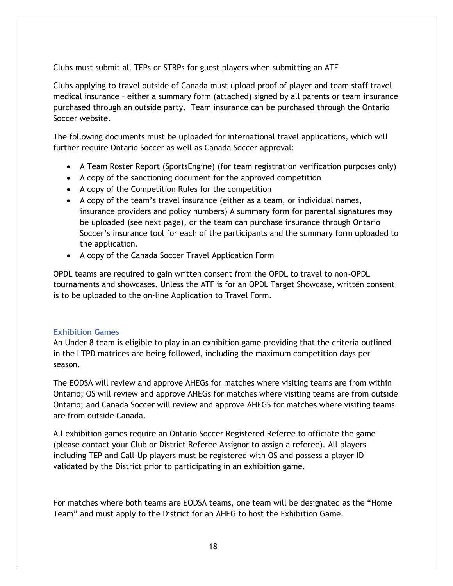Clubs must submit all TEPs or STRPs for guest players when submitting an ATF

Clubs applying to travel outside of Canada must upload proof of player and team staff travel medical insurance – either a summary form (attached) signed by all parents or team insurance purchased through an outside party. Team insurance can be purchased through the Ontario Soccer website.

The following documents must be uploaded for international travel applications, which will further require Ontario Soccer as well as Canada Soccer approval:

- A Team Roster Report (SportsEngine) (for team registration verification purposes only)
- A copy of the sanctioning document for the approved competition
- A copy of the Competition Rules for the competition
- A copy of the team's travel insurance (either as a team, or individual names, insurance providers and policy numbers) A summary form for parental signatures may be uploaded (see next page), or the team can purchase insurance through Ontario Soccer's insurance tool for each of the participants and the summary form uploaded to the application.
- A copy of the Canada Soccer Travel Application Form

OPDL teams are required to gain written consent from the OPDL to travel to non-OPDL tournaments and showcases. Unless the ATF is for an OPDL Target Showcase, written consent is to be uploaded to the on-line Application to Travel Form.

#### <span id="page-18-0"></span>**Exhibition Games**

An Under 8 team is eligible to play in an exhibition game providing that the criteria outlined in the LTPD matrices are being followed, including the maximum competition days per season.

The EODSA will review and approve AHEGs for matches where visiting teams are from within Ontario; OS will review and approve AHEGs for matches where visiting teams are from outside Ontario; and Canada Soccer will review and approve AHEGS for matches where visiting teams are from outside Canada.

All exhibition games require an Ontario Soccer Registered Referee to officiate the game (please contact your Club or District Referee Assignor to assign a referee). All players including TEP and Call-Up players must be registered with OS and possess a player ID validated by the District prior to participating in an exhibition game.

For matches where both teams are EODSA teams, one team will be designated as the "Home Team" and must apply to the District for an AHEG to host the Exhibition Game.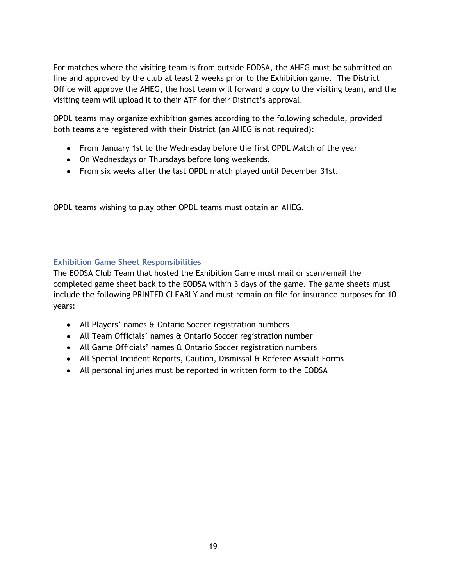For matches where the visiting team is from outside EODSA, the AHEG must be submitted online and approved by the club at least 2 weeks prior to the Exhibition game. The District Office will approve the AHEG, the host team will forward a copy to the visiting team, and the visiting team will upload it to their ATF for their District's approval.

OPDL teams may organize exhibition games according to the following schedule, provided both teams are registered with their District (an AHEG is not required):

- From January 1st to the Wednesday before the first OPDL Match of the year
- On Wednesdays or Thursdays before long weekends,
- From six weeks after the last OPDL match played until December 31st.

OPDL teams wishing to play other OPDL teams must obtain an AHEG.

#### <span id="page-19-0"></span>**Exhibition Game Sheet Responsibilities**

The EODSA Club Team that hosted the Exhibition Game must mail or scan/email the completed game sheet back to the EODSA within 3 days of the game. The game sheets must include the following PRINTED CLEARLY and must remain on file for insurance purposes for 10 years:

- All Players' names & Ontario Soccer registration numbers
- All Team Officials' names & Ontario Soccer registration number
- All Game Officials' names & Ontario Soccer registration numbers
- All Special Incident Reports, Caution, Dismissal & Referee Assault Forms
- All personal injuries must be reported in written form to the EODSA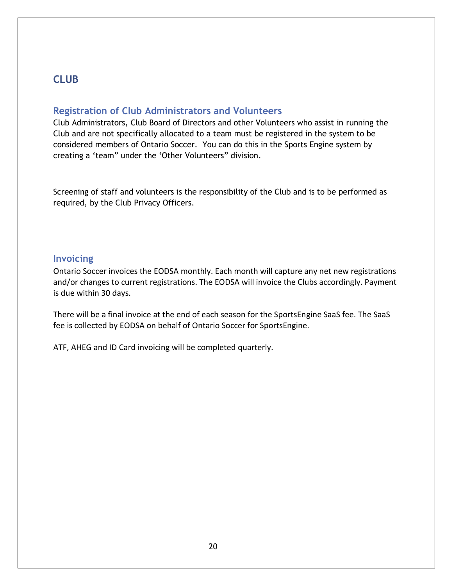# <span id="page-20-0"></span>**CLUB**

### <span id="page-20-1"></span>**Registration of Club Administrators and Volunteers**

Club Administrators, Club Board of Directors and other Volunteers who assist in running the Club and are not specifically allocated to a team must be registered in the system to be considered members of Ontario Soccer. You can do this in the Sports Engine system by creating a 'team" under the 'Other Volunteers" division.

Screening of staff and volunteers is the responsibility of the Club and is to be performed as required, by the Club Privacy Officers.

#### <span id="page-20-2"></span>**Invoicing**

Ontario Soccer invoices the EODSA monthly. Each month will capture any net new registrations and/or changes to current registrations. The EODSA will invoice the Clubs accordingly. Payment is due within 30 days.

There will be a final invoice at the end of each season for the SportsEngine SaaS fee. The SaaS fee is collected by EODSA on behalf of Ontario Soccer for SportsEngine.

ATF, AHEG and ID Card invoicing will be completed quarterly.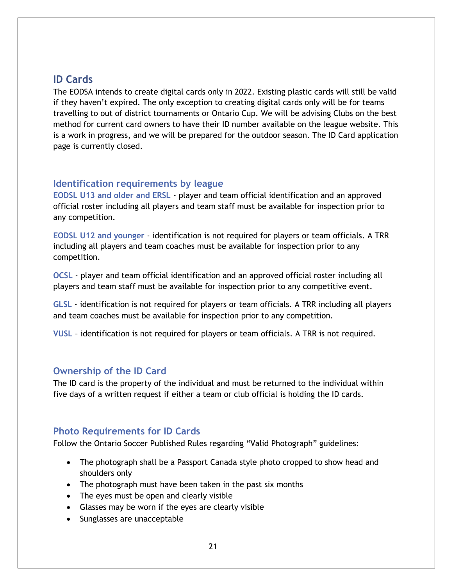# <span id="page-21-0"></span>**ID Cards**

The EODSA intends to create digital cards only in 2022. Existing plastic cards will still be valid if they haven't expired. The only exception to creating digital cards only will be for teams travelling to out of district tournaments or Ontario Cup. We will be advising Clubs on the best method for current card owners to have their ID number available on the league website. This is a work in progress, and we will be prepared for the outdoor season. The ID Card application page is currently closed.

### <span id="page-21-1"></span>**Identification requirements by league**

<span id="page-21-2"></span>**EODSL U13 and older and ERSL** - player and team official identification and an approved official roster including all players and team staff must be available for inspection prior to any competition.

<span id="page-21-3"></span>**EODSL U12 and younger** - identification is not required for players or team officials. A TRR including all players and team coaches must be available for inspection prior to any competition.

<span id="page-21-4"></span>**OCSL** - player and team official identification and an approved official roster including all players and team staff must be available for inspection prior to any competitive event.

<span id="page-21-5"></span>**GLSL** - identification is not required for players or team officials. A TRR including all players and team coaches must be available for inspection prior to any competition.

<span id="page-21-6"></span>**VUSL** – identification is not required for players or team officials. A TRR is not required.

#### <span id="page-21-7"></span>**Ownership of the ID Card**

The ID card is the property of the individual and must be returned to the individual within five days of a written request if either a team or club official is holding the ID cards.

## <span id="page-21-8"></span>**Photo Requirements for ID Cards**

Follow the Ontario Soccer Published Rules regarding "Valid Photograph" guidelines:

- The photograph shall be a Passport Canada style photo cropped to show head and shoulders only
- The photograph must have been taken in the past six months
- The eyes must be open and clearly visible
- Glasses may be worn if the eyes are clearly visible
- Sunglasses are unacceptable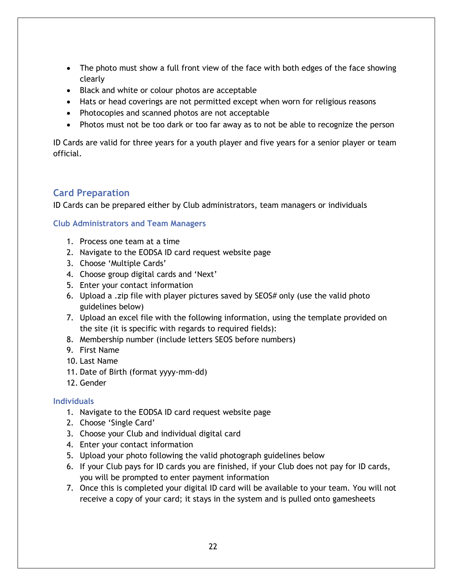- The photo must show a full front view of the face with both edges of the face showing clearly
- Black and white or colour photos are acceptable
- Hats or head coverings are not permitted except when worn for religious reasons
- Photocopies and scanned photos are not acceptable
- Photos must not be too dark or too far away as to not be able to recognize the person

ID Cards are valid for three years for a youth player and five years for a senior player or team official.

# <span id="page-22-0"></span>**Card Preparation**

ID Cards can be prepared either by Club administrators, team managers or individuals

<span id="page-22-1"></span>**Club Administrators and Team Managers**

- 1. Process one team at a time
- 2. Navigate to the EODSA ID card request website page
- 3. Choose 'Multiple Cards'
- 4. Choose group digital cards and 'Next'
- 5. Enter your contact information
- 6. Upload a .zip file with player pictures saved by SEOS# only (use the valid photo guidelines below)
- 7. Upload an excel file with the following information, using the template provided on the site (it is specific with regards to required fields):
- 8. Membership number (include letters SEOS before numbers)
- 9. First Name
- 10. Last Name
- 11. Date of Birth (format yyyy-mm-dd)
- 12. Gender

#### <span id="page-22-2"></span>**Individuals**

- 1. Navigate to the EODSA ID card request website page
- 2. Choose 'Single Card'
- 3. Choose your Club and individual digital card
- 4. Enter your contact information
- 5. Upload your photo following the valid photograph guidelines below
- 6. If your Club pays for ID cards you are finished, if your Club does not pay for ID cards, you will be prompted to enter payment information
- 7. Once this is completed your digital ID card will be available to your team. You will not receive a copy of your card; it stays in the system and is pulled onto gamesheets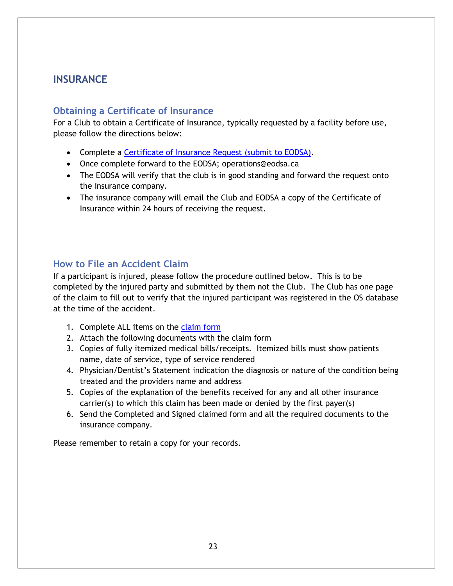# <span id="page-23-0"></span>**INSURANCE**

## <span id="page-23-1"></span>**Obtaining a Certificate of Insurance**

For a Club to obtain a Certificate of Insurance, typically requested by a facility before use, please follow the directions below:

- Complete a Certificate of Insurance Request (submit to EODSA).
- Once complete forward to the EODSA; operations@eodsa.ca
- The EODSA will verify that the club is in good standing and forward the request onto the insurance company.
- The insurance company will email the Club and EODSA a copy of the Certificate of Insurance within 24 hours of receiving the request.

# <span id="page-23-2"></span>**How to File an Accident Claim**

If a participant is injured, please follow the procedure outlined below. This is to be completed by the injured party and submitted by them not the Club. The Club has one page of the claim to fill out to verify that the injured participant was registered in the OS database at the time of the accident.

- 1. Complete ALL items on the [claim form](https://cdn3.sportngin.com/attachments/document/0132/9087/Ontario_Soccer_-_Accident_Claim_Forms__5pages_-_Sept.1.2017_.pdf)
- 2. Attach the following documents with the claim form
- 3. Copies of fully itemized medical bills/receipts. Itemized bills must show patients name, date of service, type of service rendered
- 4. Physician/Dentist's Statement indication the diagnosis or nature of the condition being treated and the providers name and address
- 5. Copies of the explanation of the benefits received for any and all other insurance carrier(s) to which this claim has been made or denied by the first payer(s)
- 6. Send the Completed and Signed claimed form and all the required documents to the insurance company.

Please remember to retain a copy for your records.